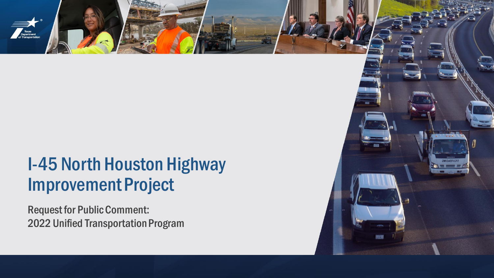

Request for Public Comment: 2022 Unified Transportation Program

Texas<br>Department<br>of Transportatio

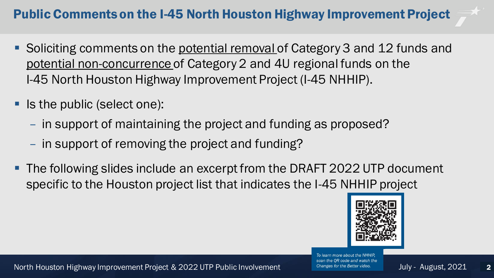# Public Comments on the I-45 North Houston Highway Improvement Project

- Soliciting comments on the potential removal of Category 3 and 12 funds and potential non-concurrence of Category 2 and 4U regional funds on the I-45 North Houston Highway Improvement Project (I-45 NHHIP).
- Is the public (select one):
	- in support of maintaining the project and funding as proposed?
	- in support of removing the project and funding?
- The following slides include an excerpt from the DRAFT 2022 UTP document specific to the Houston project list that indicates the I-45 NHHIP project



North Houston Highway Improvement Project & 2022 UTP Public Involvement Changes for the Better video. July - August, 2021

To learn more about the NHHIP. scan the QR code and watch the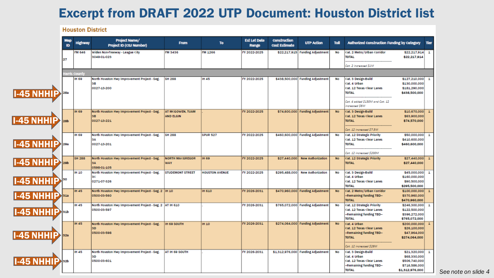### Excerpt from DRAFT 2022 UTP Document: Houston District list

### **Project Name/ Est Let Date Construction From** To **UTP Action** Toll **Authorized Construction Funding by Category** Highway Tier ID **Project ID (CSJ Number) Cost Estimate** Range FM 646 Widen Non-Freeway - League City **FM 3436** FM 1266 TY 2022-2025 \$22,217,915 Funding Adjustment Cat. 2 Metro/Urban Corridor \$22,217,914 No  $\mathbf{1}$ 3049-01-023 **TOTAL** \$22,217,914 27 Cat. 2 increased \$1M arris Count **IH 69** North Houston Hwy Improvement Project - Seg. **SH 288 IH 45** FY 2022-2025 \$438,500,000 Funding Adjustment Cat. 3 Design-Build \$127,210,000 **No** Cat. 4 Urban \$130,000,000 **SB** 0027-13-200 \$181,290,000 Cat. 12 Texas Clear Lanes I-45 NHHIP **TOTAL** \$438,500,000 **28a** Cat. 4 added \$130M and Cat. 12 increased S6M **IH 69** North Houston Hwy Improvement Project - Seg. **AT MCGOWEN, TUAM** FY 2022-2025 \$74,600,000 Funding Adjustment **No** Cat. 3 Design-Build \$10,670,000 \$63,900,000 3B **AND ELGIN** Cat. 12 Texas Clear Lanes I-45 NHHIP 0027-13-221 **TOTAL** \$74,570,000 Cat. 12 increased \$7.5M **IH 69** North Houston Hwy Improvement Project - Seg. **SH 288** SPUR<sub>527</sub> FY 2022-2025 \$460,600,000 Funding Adjustment **No** Cat. 12 Strategic Priority \$50,000,000 S. Cat. 12 Texas Clear Lanes \$410,600,000 **I-45 NHHIP** 0027-13-201 **TOTAL** \$460,600,000 Cat. 12 increased \$200M **SH 288** North Houston Hwy Improvement Project - Seg. **NORTH MACGREGOR IH 69** FY 2022-2025 \$27,440,000 New Authorization Cat. 12 Strategic Priority \$27,440,000 **No**  $\mathbf{1}$ I-45 NHHIP  $29b$ SA **WAY TOTAL** \$27,440,000 0598-01-105 **IH 10** North Houston Hwy Improvement Project - Seg. **STUDEMONT STREET HOUSTON AVENUE** FY 2022-2025 \$295,488,000 **New Authorization No** Cat. 3 Design-Build \$45,000,000  $\mathbf{I}$ Cat. 4 Urban \$160,000,000 I-45 NHHIP , Iso 0271-07-326 Cat. 12 Texas Clear Lanes \$90,500,000 **TOTAL** \$295,500,000 **IH 45** North Houston Hwy Improvement Project - Seg. 2 |IH 10 **IH 610** TY 2026-2031 \$470,960,000 Funding Adjustment **No** Cat. 2 Metro/Urban Corridor \$100,000,000 **-45 NHHIP** 0500-03-560 -Remaining funding TBD-\$370,960,000 **TOTAL** \$470,960,000 **IH 45** North Houston Hwy Improvement Project - Seg. 2 AT IH 610 FY 2026-2031 \$765,072,000 Funding Adjustment \$246,300,000 No Cat. 12 Strategic Priority  $\overline{1}$ 0500-03-597 Cat. 12 Texas Clear Lanes \$122,500,000 I-45 NHHIP  $31<sub>b</sub>$ -Remaining funding TBD-\$396,272,000 **TOTAL** \$765,072,000 **IH 45** North Houston Hwy Improvement Project - Seg. FY 2026-2031 \$274,064,000 Funding Adjustment **No** \$200,000,000 **IH 69 SOUTH IH 10** Cat. 4 Urban Cat. 12 Texas Clear Lanes \$26,100,000 sn 0500-03-598 -Remaining funding TBD-\$47,964,000 45 NHHI  $32a$ **TOTAL** \$274,064,000 Cat. 12 increased \$26M **IH 45** North Houston Hwy Improvement Project - Seg. AT IH 69 SOUTH FY 2026-2031 \$1,312,976,000 Funding Adjustment **No** Cat. 3 Design-Build \$21,320,000 3D Cat. 4 Urban \$68,330,000 I5 NHHI 0500-03-601 Cat. 12 Texas Clear Lanes \$506,740,000  $32<sub>b</sub>$ -Remaining funding TBD-\$716,586,000 **TOTAL** \$1,312,976,000

**Houston District** 

*See note on slide 4*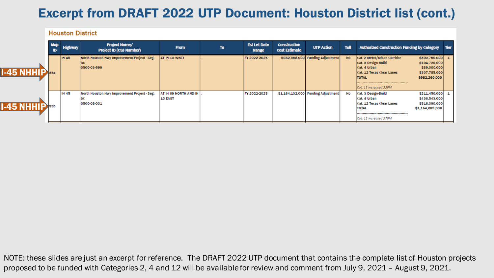## Excerpt from DRAFT 2022 UTP Document: Houston District list (cont.)

### **Houston District**

|              | <b>Map</b><br>ID | <b>Highway</b> | <b>Project Name/</b><br><b>Project ID (CSJ Number)</b>      | <b>From</b>                      | <b>To</b> | <b>Est Let Date</b><br>Range | <b>Construction</b><br><b>Cost Estimate</b> | <b>UTP Action</b>                  | <b>Toll</b> | <b>Authorized Construction Funding by Category</b>                                                                                                  |                                                                                    | Tier |
|--------------|------------------|----------------|-------------------------------------------------------------|----------------------------------|-----------|------------------------------|---------------------------------------------|------------------------------------|-------------|-----------------------------------------------------------------------------------------------------------------------------------------------------|------------------------------------------------------------------------------------|------|
| $1-45$ NHHIP |                  | <b>IH 45</b>   | North Houston Hwy Improvement Project - Seg.<br>0500-03-599 | AT IH 10 WEST                    |           | FY 2022-2025                 |                                             | \$982,368,000 Funding Adjustment   | <b>No</b>   | Cat. 2 Metro/Urban Corridor<br>Cat. 3 Design-Build<br>Icat. 4 Urban<br><b>ICat. 12 Texas Clear Lanes</b><br><b>TOTAL</b><br>Cat. 12 increased \$58M | \$390,750,000 1<br>\$194,725,000<br>\$89,000,000<br>\$307,785,000<br>\$982,260,000 |      |
| $1-45$ NHHIP |                  | <b>IH 45</b>   | North Houston Hwy Improvement Project - Seg.<br>0500-08-001 | AT IH 69 NORTH AND IH<br>10 EAST |           | FY 2022-2025                 |                                             | \$1,164,132,000 Funding Adjustment | No          | Cat. 3 Design-Build<br>Cat. 4 Urban<br><b>Cat. 12 Texas Clear Lanes</b><br><b>TOTAL</b><br>Cat. 12 increased S70M                                   | \$211,450,000 1<br>\$436,543,000<br>\$516,090,000<br>\$1,164,083,000               |      |

NOTE: these slides are just an excerpt for reference. The DRAFT 2022 UTP document that contains the complete list of Houston projects proposed to be funded with Categories 2, 4 and 12 will be available for review and comment from July 9, 2021 – August 9, 2021.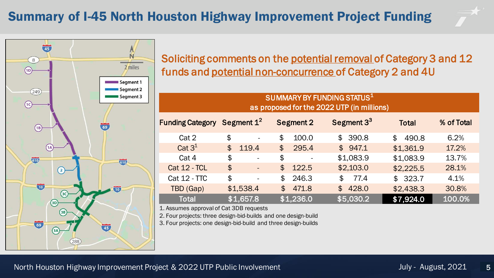# Summary of I-45 North Houston Highway Improvement Project Funding





Soliciting comments on the potential removal of Category 3 and 12 funds and potential non-concurrence of Category 2 and 4U

| SUMMARY BY FUNDING STATUS1<br>as proposed for the 2022 UTP (in millions) |                                |                                     |                                    |                         |            |  |  |  |  |  |  |
|--------------------------------------------------------------------------|--------------------------------|-------------------------------------|------------------------------------|-------------------------|------------|--|--|--|--|--|--|
| Funding Category Segment 1 <sup>2</sup>                                  |                                | <b>Segment 2</b>                    | Segment $3^3$                      | <b>Total</b>            | % of Total |  |  |  |  |  |  |
| Cat 2                                                                    | \$<br>$\overline{\phantom{a}}$ | \$<br>100.0                         | \$390.8                            | 490.8<br>$\mathfrak{P}$ | 6.2%       |  |  |  |  |  |  |
| Cat $3^1$                                                                | $\mathfrak{P}$<br>119.4        | $\boldsymbol{\mathsf{\$}}$<br>295.4 | \$947.1                            | \$1,361.9               | 17.2%      |  |  |  |  |  |  |
| Cat 4                                                                    | \$<br>$\overline{\phantom{a}}$ | \$                                  | \$1,083.9                          | \$1,083.9               | 13.7%      |  |  |  |  |  |  |
| <b>Cat 12 - TCL</b>                                                      | \$<br>$\overline{\phantom{a}}$ | $\mathfrak{P}$<br>122.5             | \$2,103.0                          | \$2,225.5               | 28.1%      |  |  |  |  |  |  |
| <b>Cat 12 - TTC</b>                                                      | \$<br>$\overline{\phantom{a}}$ | \$<br>246.3                         | 77.4<br>$\boldsymbol{\mathsf{\$}}$ | \$323.7                 | 4.1%       |  |  |  |  |  |  |
| TBD (Gap)                                                                | \$1,538.4                      | $\mathfrak{P}$<br>471.8             | $\mathfrak{P}$<br>428.0            | \$2,438.3               | 30.8%      |  |  |  |  |  |  |
| <b>Total</b>                                                             | \$1,657.8                      | \$1,236.0                           | \$5,030.2                          | \$7,924.0               | 100.0%     |  |  |  |  |  |  |

1. Assumes approval of Cat 3DB requests

2. Four projects: three design-bid-builds and one design-build

3. Four projects: one design-bid-build and three design-builds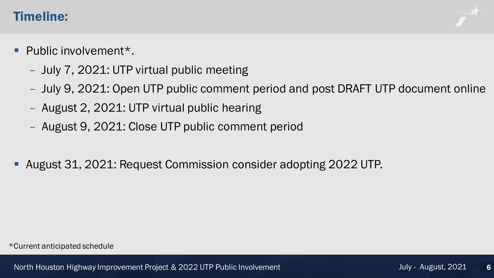### Timeline:

- Public involvement\*.
	- July 7, 2021: UTP virtual public meeting
	- July 9, 2021: Open UTP public comment period and post DRAFT UTP document online
	- August 2, 2021: UTP virtual public hearing
	- August 9, 2021: Close UTP public comment period
- August 31, 2021: Request Commission consider adopting 2022 UTP.

\*Current anticipated schedule